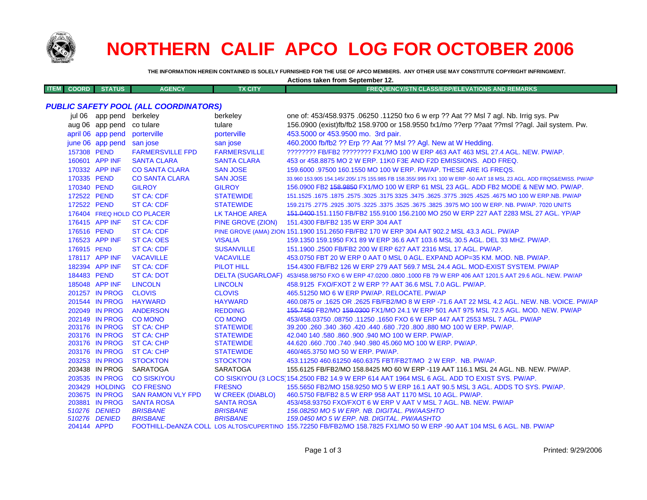

## **NORTHERN CALIF APCO LOG FOR OCTOBER 2006**

**Actions taken from September 12.**

**THE INFORMATION HEREIN CONTAINED IS SOLELY FURNISHED FOR THE USE OF APCO MEMBERS. ANY OTHER USE MAY CONSTITUTE COPYRIGHT INFRINGMENT.**

| <b>ITEM</b><br><b>COORD</b>                  | <b>STATUS</b>             | <b>AGENCY</b>              | <b>TX CITY</b>       | <b>FREQUENCY/STN CLASS/ERP/ELEVATIONS AND REMARKS</b>                                                                                                               |  |
|----------------------------------------------|---------------------------|----------------------------|----------------------|---------------------------------------------------------------------------------------------------------------------------------------------------------------------|--|
| <b>PUBLIC SAFETY POOL (ALL COORDINATORS)</b> |                           |                            |                      |                                                                                                                                                                     |  |
|                                              |                           |                            |                      |                                                                                                                                                                     |  |
|                                              | jul 06 app pend berkeley  |                            | berkeley             | one of: 453/458.9375 .06250 .11250 fxo 6 w erp ?? Aat ?? Msl 7 agl. Nb. Irrig sys. Pw                                                                               |  |
|                                              | aug 06 app pend           | co tulare                  | tulare               | 156.0900 (exist)fb/fb2 158.9700 or 158.9550 fx1/mo ??erp ??aat ??msl ??agl. Jail system. Pw.                                                                        |  |
|                                              | april 06 app pend         | porterville                | porterville          | 453.5000 or 453.9500 mo. 3rd pair.                                                                                                                                  |  |
|                                              | june 06 app pend san jose |                            | san jose             | 460.2000 fb/fb2 ?? Erp ?? Aat ?? Msl ?? Agl. New at W Hedding.                                                                                                      |  |
| 157308 PEND                                  |                           | <b>FARMERSVILLE FPD</b>    | <b>FARMERSVILLE</b>  | ???????? FB/FB2 ???????? FX1/MO 100 W ERP 463 AAT 463 MSL 27.4 AGL. NEW. PW/AP.                                                                                     |  |
|                                              | 160601 APP INF            | <b>SANTA CLARA</b>         | <b>SANTA CLARA</b>   | 453 or 458,8875 MO 2 W ERP, 11K0 F3E AND F2D EMISSIONS. ADD FREQ.                                                                                                   |  |
|                                              | 170332 APP INF            | <b>CO SANTA CLARA</b>      | <b>SAN JOSE</b>      | 159,6000 .97500 160.1550 MO 100 W ERP. PW/AP. THESE ARE IG FREQS.                                                                                                   |  |
| 170335 PEND                                  |                           | <b>CO SANTA CLARA</b>      | <b>SAN JOSE</b>      | 33.960 153.905 154.145/.205/.175 155.985 FB 158.355/.995 FX1 100 W ERP -50 AAT 18 MSL 23 AGL. ADD FRQS&EMISS. PW/AP                                                 |  |
| 170340 PEND                                  |                           | <b>GILROY</b>              | <b>GILROY</b>        | 156,0900 FB2 <del>158,9850</del> FX1/MO 100 W ERP 61 MSL 23 AGL, ADD FB2 MODE & NEW MO, PW/AP,                                                                      |  |
| 172522 PEND                                  |                           | <b>ST CA: CDF</b>          | <b>STATEWIDE</b>     | 151.1525 .1675 NO 100 W ERP NB. PW/AP 325. 3775. 3625. 3475. 3625. 3475 3325. 3775: 1675. 3625. 1675. 1675.                                                         |  |
| 172522 PEND                                  |                           | <b>ST CA: CDF</b>          | <b>STATEWIDE</b>     | 159.2175 .2775 .2925 .3075 .3225 .3375 .3525 .3675 .3825 .3975 MO 100 W ERP. NB. PW/AP. 7020 UNITS                                                                  |  |
|                                              |                           | 176404 FREQ HOLD CO PLACER | <b>LK TAHOE AREA</b> | 151.0400-151.1150 FB/FB2 155.9100 156.2100 MO 250 W ERP 227 AAT 2283 MSL 27 AGL. YP/AP                                                                              |  |
|                                              | 176415 APP INF            | <b>ST CA: CDF</b>          | PINE GROVE (ZION)    | 151.4300 FB/FB2 135 W ERP 304 AAT                                                                                                                                   |  |
| 176516 PEND                                  |                           | <b>ST CA: CDF</b>          |                      | PINE GROVE (AMA) ZION 151.1900 151.2650 FB/FB2 170 W ERP 304 AAT 902.2 MSL 43.3 AGL. PW/AP                                                                          |  |
|                                              | 176523 APP INF            | <b>ST CA: OES</b>          | <b>VISALIA</b>       | 159.1350 159.1950 FX1 89 W ERP 36.6 AAT 103.6 MSL 30.5 AGL. DEL 33 MHZ. PW/AP.                                                                                      |  |
| 176915 PEND                                  |                           | <b>ST CA: CDF</b>          | <b>SUSANVILLE</b>    | 151.1900 .2500 FB/FB2 200 W ERP 627 AAT 2316 MSL 17 AGL. PW/AP.                                                                                                     |  |
|                                              | 178117 APP INF            | <b>VACAVILLE</b>           | <b>VACAVILLE</b>     | 453.0750 FBT 20 W ERP 0 AAT 0 MSL 0 AGL. EXPAND AOP=35 KM. MOD. NB. PW/AP.                                                                                          |  |
|                                              | 182394 APP INF            | <b>ST CA: CDF</b>          | PILOT HILL           | 154.4300 FB/FB2 126 W ERP 279 AAT 569.7 MSL 24.4 AGL. MOD-EXIST SYSTEM. PW/AP                                                                                       |  |
| 184483 PEND                                  |                           | <b>ST CA: DOT</b>          |                      | DELTA (SUGARLOAF) 453/458.98750 FXO 6 W ERP 47.0200 .0800 .1000 FB 79 W ERP 406 AAT 1201.5 AAT 29.6 AGL. NEW. PW/AP                                                 |  |
|                                              | 185048 APP INF            | <b>LINCOLN</b>             | <b>LINCOLN</b>       | 458.9125 FXO/FXOT 2 W ERP ?? AAT 36.6 MSL 7.0 AGL. PW/AP.                                                                                                           |  |
|                                              | 201257 IN PROG            | <b>CLOVIS</b>              | <b>CLOVIS</b>        | 465.51250 MO 6 W ERP PW/AP. RELOCATE. PW/AP                                                                                                                         |  |
|                                              | 201544 IN PROG            | <b>HAYWARD</b>             | <b>HAYWARD</b>       | 460.0875 or .1625 OR .2625 FB/FB2/MO 8 W ERP -71.6 AAT 22 MSL 4.2 AGL. NEW. NB. VOICE. PW/AP                                                                        |  |
|                                              | 202049 IN PROG            | <b>ANDERSON</b>            | <b>REDDING</b>       | 155.7450 FB2/MO 159.0300 FX1/MO 24.1 W ERP 501 AAT 975 MSL 72.5 AGL. MOD. NEW. PW/AP                                                                                |  |
|                                              | 202149 IN PROG            | <b>CO MONO</b>             | <b>CO MONO</b>       | 453/458.03750.08750.11250.1650 FXO 6 W ERP 447 AAT 2553 MSL 7 AGL. PW/AP                                                                                            |  |
|                                              | 203176 IN PROG            | <b>ST CA: CHP</b>          | <b>STATEWIDE</b>     | 39.200 .260 .340 .360 .420 .440 .680 .720 .800 .880 MO 100 W ERP. PW/AP.                                                                                            |  |
|                                              | 203176 IN PROG            | <b>ST CA: CHP</b>          | <b>STATEWIDE</b>     | 42.040 140 .580 .860 .900 .940 MO 100 W ERP. PW/AP.                                                                                                                 |  |
|                                              | 203176 IN PROG            | <b>ST CA: CHP</b>          | <b>STATEWIDE</b>     | 44.620 .660 .700 .740 .940 .980 45.060 MO 100 W ERP. PW/AP.                                                                                                         |  |
|                                              | 203176 IN PROG            | <b>ST CA: CHP</b>          | <b>STATEWIDE</b>     | 460/465.3750 MO 50 W ERP. PW/AP.                                                                                                                                    |  |
|                                              | 203253 IN PROG            | <b>STOCKTON</b>            | <b>STOCKTON</b>      | 453.11250 460.61250 460.6375 FBT/FB2T/MO 2 W ERP. NB. PW/AP.                                                                                                        |  |
|                                              | 203438 IN PROG            | <b>SARATOGA</b>            | <b>SARATOGA</b>      | 155.6125 FB/FB2/MO 158.8425 MO 60 W ERP -119 AAT 116.1 MSL 24 AGL, NB, NEW, PW/AP.                                                                                  |  |
|                                              | 203535 IN PROG            | <b>CO SISKIYOU</b>         |                      | CO SISKIYOU (3 LOCS) 154.2500 FB2 14.9 W ERP 614 AAT 1964 MSL 6 AGL. ADD TO EXIST SYS. PW/AP.                                                                       |  |
|                                              | 203429 HOLDING            | <b>CO FRESNO</b>           | <b>FRESNO</b>        | 155.5650 FB2/MO 158.9250 MO 5 W ERP 16.1 AAT 90.5 MSL 3 AGL. ADDS TO SYS. PW/AP.                                                                                    |  |
|                                              | 203675 IN PROG            | <b>SAN RAMON VLY FPD</b>   | W CREEK (DIABLO)     | 460.5750 FB/FB2 8.5 W ERP 958 AAT 1170 MSL 10 AGL. PW/AP.                                                                                                           |  |
|                                              | 203881 IN PROG            | <b>SANTA ROSA</b>          | <b>SANTA ROSA</b>    | 453/458,93750 FXO/FXOT 6 W ERP V AAT V MSL 7 AGL, NB, NEW, PW/AP                                                                                                    |  |
|                                              | 510276 DENIED             | <b>BRISBANE</b>            | <b>BRISBANE</b>      | 156.08250 MO 5 W ERP. NB. DIGITAL. PW/AASHTO                                                                                                                        |  |
| $201111$ ADDD                                | 510276 DENIED             | <b>BRISBANE</b>            | <b>BRISBANE</b>      | 159.0450 MO 5 W ERP. NB. DIGITAL. PW/AASHTO<br>EOOTHILL DAANZA COLL LOS ALTOSICUPERTINO 155 72250 ERIER2IMO 158 7825 EX1IMO 50 W ERR JOA AAT 104 MSL 6 ACL NR RWIAR |  |
|                                              |                           |                            |                      |                                                                                                                                                                     |  |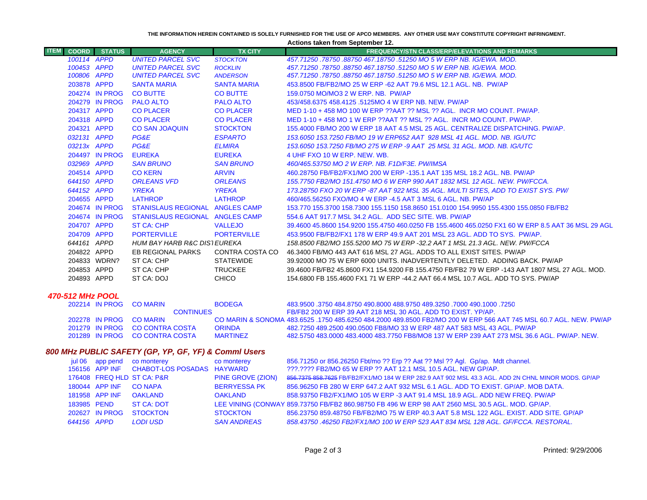**THE INFORMATION HEREIN CONTAINED IS SOLELY FURNISHED FOR THE USE OF APCO MEMBERS. ANY OTHER USE MAY CONSTITUTE COPYRIGHT INFRINGMENT.**

**Actions taken from September 12.**

| <b>ITEM</b>      | <b>COORD</b> | <b>STATUS</b>  | <b>AGENCY</b>                                                | <b>TX CITY</b>     | <b>FREQUENCY/STN CLASS/ERP/ELEVATIONS AND REMARKS</b>                                              |
|------------------|--------------|----------------|--------------------------------------------------------------|--------------------|----------------------------------------------------------------------------------------------------|
|                  | 100114 APPD  |                | <b>UNITED PARCEL SVC</b>                                     | <b>STOCKTON</b>    | 457.71250.78750.88750.467.18750.51250 MO 5 W ERP NB. IG/EWA, MOD.                                  |
|                  | 100453 APPD  |                | <b>UNITED PARCEL SVC</b>                                     | <b>ROCKLIN</b>     | 457.71250.78750.88750 467.18750.51250 MO 5 W ERP NB. IG/EWA, MOD.                                  |
|                  | 100806 APPD  |                | <b>UNITED PARCEL SVC</b>                                     | <b>ANDERSON</b>    | 457.71250 .78750 .88750 467.18750 .51250 MO 5 W ERP NB. IG/EWA. MOD.                               |
|                  | 203878 APPD  |                | <b>SANTA MARIA</b>                                           | <b>SANTA MARIA</b> | 453.8500 FB/FB2/MO 25 W ERP -62 AAT 79.6 MSL 12.1 AGL, NB. PW/AP                                   |
|                  |              | 204274 IN PROG | <b>CO BUTTE</b>                                              | <b>CO BUTTE</b>    | 159.0750 MO/MO3 2 W ERP. NB. PW/AP                                                                 |
|                  |              | 204279 IN PROG | <b>PALO ALTO</b>                                             | <b>PALO ALTO</b>   | 453/458.6375 458.4125 .5125MO 4 W ERP NB, NEW, PW/AP                                               |
|                  | 204317 APPD  |                | <b>CO PLACER</b>                                             | <b>CO PLACER</b>   | MED 1-10 + 458 MO 100 W ERP ??AAT ?? MSL ?? AGL. INCR MO COUNT. PW/AP.                             |
|                  | 204318 APPD  |                | <b>CO PLACER</b>                                             | <b>CO PLACER</b>   | MED 1-10 + 458 MO 1 W ERP ??AAT ?? MSL ?? AGL. INCR MO COUNT. PW/AP.                               |
|                  | 204321 APPD  |                | <b>CO SAN JOAQUIN</b>                                        | <b>STOCKTON</b>    | 155,4000 FB/MO 200 W ERP 18 AAT 4.5 MSL 25 AGL. CENTRALIZE DISPATCHING, PW/AP.                     |
|                  | 032131 APPD  |                | PG&E                                                         | <b>ESPARTO</b>     | 153.6050 153.7250 FB/MO 19 W ERP652 AAT 928 MSL 41 AGL, MOD, NB, IG/UTC                            |
|                  | 03213x APPD  |                | PG&E                                                         | <b>ELMIRA</b>      | 153.6050 153.7250 FB/MO 275 W ERP -9 AAT 25 MSL 31 AGL, MOD, NB, IG/UTC                            |
|                  |              | 204497 IN PROG | <b>EUREKA</b>                                                | <b>EUREKA</b>      | 4 UHF FXO 10 W ERP. NEW. WB.                                                                       |
|                  | 032969 APPD  |                | <b>SAN BRUNO</b>                                             | <b>SAN BRUNO</b>   | 460/465.53750 MO 2 W ERP. NB. F1D/F3E. PW/IMSA                                                     |
|                  | 204514 APPD  |                | <b>CO KERN</b>                                               | <b>ARVIN</b>       | 460.28750 FB/FB2/FX1/MO 200 W ERP -135.1 AAT 135 MSL 18.2 AGL, NB, PW/AP                           |
|                  | 644150 APPD  |                | <b>ORLEANS VFD</b>                                           | <b>ORLEANS</b>     | 155.7750 FB2/MO 151.4750 MO 6 W ERP 990 AAT 1832 MSL 12 AGL. NEW. PW/FCCA.                         |
|                  | 644152 APPD  |                | <b>YREKA</b>                                                 | <b>YREKA</b>       | 173.28750 FXO 20 W ERP -87 AAT 922 MSL 35 AGL. MULTI SITES, ADD TO EXIST SYS. PW/                  |
|                  | 204655 APPD  |                | <b>LATHROP</b>                                               | <b>LATHROP</b>     | 460/465.56250 FXO/MO 4 W ERP -4.5 AAT 3 MSL 6 AGL, NB, PW/AP                                       |
|                  |              | 204674 IN PROG | STANISLAUS REGIONAL ANGLES CAMP                              |                    | 153.770 155.3700 158.7300 155.1150 158.8650 151.0100 154.9950 155.4300 155.0850 FB/FB2             |
|                  |              | 204674 IN PROG | STANISLAUS REGIONAL ANGLES CAMP                              |                    | 554.6 AAT 917.7 MSL 34.2 AGL. ADD SEC SITE, WB, PW/AP                                              |
|                  | 204707 APPD  |                | ST CA: CHP                                                   | <b>VALLEJO</b>     | 39.4600 45.8600 154.9200 155.4750 460.0250 FB 155.4600 465.0250 FX1 60 W ERP 8.5 AAT 36 MSL 29 AGL |
|                  | 204709 APPD  |                | <b>PORTERVILLE</b>                                           | <b>PORTERVILLE</b> | 453,9500 FB/FB2/FX1 178 W ERP 49.9 AAT 201 MSL 23 AGL, ADD TO SYS. PW/AP.                          |
|                  | 644161 APPD  |                | HUM BAY HARB R&C DISTEUREKA                                  |                    | 158.8500 FB2/MO 155.5200 MO 75 W ERP -32.2 AAT 1 MSL 21.3 AGL. NEW. PW/FCCA                        |
|                  | 204822 APPD  |                | EB REGIONAL PARKS                                            | CONTRA COSTA CO    | 46.3400 FB/MO 443 AAT 616 MSL 27 AGL. ADDS TO ALL EXIST SITES. PW/AP                               |
|                  |              | 204833 WDRN?   | ST CA: CHP                                                   | <b>STATEWIDE</b>   | 39.92000 MO 75 W ERP 6000 UNITS. INADVERTENTLY DELETED. ADDING BACK. PW/AP                         |
|                  | 204853 APPD  |                | ST CA: CHP                                                   | <b>TRUCKEE</b>     | 39.4600 FB/FB2 45.8600 FX1 154.9200 FB 155.4750 FB/FB2 79 W ERP -143 AAT 1807 MSL 27 AGL, MOD,     |
|                  | 204893 APPD  |                | ST CA: DOJ                                                   | <b>CHICO</b>       | 154,6800 FB 155,4600 FX1 71 W ERP -44.2 AAT 66.4 MSL 10.7 AGL, ADD TO SYS, PW/AP                   |
| 470-512 MHz POOL |              |                |                                                              |                    |                                                                                                    |
|                  |              | 202214 IN PROG | <b>CO MARIN</b>                                              | <b>BODEGA</b>      | 483.9500 .3750 484.8750 490.8000 488.9750 489.3250 .7000 490.1000 .7250                            |
| <b>CONTINUES</b> |              |                | FB/FB2 200 W ERP 39 AAT 218 MSL 30 AGL, ADD TO EXIST, YP/AP. |                    |                                                                                                    |

|  | 800 MHz PUBLIC SAFETY (GP. YP. GF. YF) & Commi Users |                 |                                                                                             |
|--|------------------------------------------------------|-----------------|---------------------------------------------------------------------------------------------|
|  | 201289 IN PROG CO CONTRA COSTA                       | <b>MARTINFZ</b> | 482.5750 483.0000 483.4000 483.7750 FB8/MO8 137 W ERP 239 AAT 273 MSL 36.6 AGL. PW/AP, NEW. |
|  | <b>LUILIU INIINOU LUUCUUNIIN UUUIN</b>               | <u>UNIVER</u>   | ורזוזוי ובוטרו עיב ונשט וויעז וטד וויום זון טע טווושט וויטט אינטער טעט.בעטר טעם וועם        |

A ORINDA

202278 IN PROG CO MARIN

201279 IN PROG CO CONTRA COSTA

|             | jul 06 app pend | co monterey                               | co monterey         | 856.71250 or 856.26250 Fbt/mo ?? Erp ?? Aat ?? Msl ?? Agl. Gp/ap. Mdt channel.                      |
|-------------|-----------------|-------------------------------------------|---------------------|-----------------------------------------------------------------------------------------------------|
|             |                 | 156156 APP INF CHABOT-LOS POSADAS HAYWARD |                     | 222.2222 FB2/MO 65 W ERP 22 AAT 12.1 MSL 10.5 AGL, NEW GP/AP.                                       |
|             |                 | 176408 FREQ HLD ST CA: P&R                | PINE GROVE (ZION)   | 856.7375 858.7625 FB/FB2/FX1/MO 184 W ERP 282.9 AAT 902 MSL 43.3 AGL. ADD 2N CHNL MINOR MODS. GP/AP |
|             | 180044 APP INF  | <b>CO NAPA</b>                            | <b>BERRYESSA PK</b> | 856.96250 FB 280 W ERP 647.2 AAT 932 MSL 6.1 AGL. ADD TO EXIST. GP/AP. MOB DATA.                    |
|             | 181958 APP INF  | <b>OAKLAND</b>                            | <b>OAKLAND</b>      | 858.93750 FB2/FX1/MO 105 W ERP -3 AAT 91.4 MSL 18.9 AGL, ADD NEW FREQ, PW/AP                        |
| 183985 PEND |                 | ST CA: DOT                                |                     | LEE VINING (CONWAY 859.73750 FB/FB2 860.98750 FB 496 W ERP 98 AAT 2560 MSL 30.5 AGL. MOD. GP/AP.    |
|             | 202627 IN PROG  | <b>STOCKTON</b>                           | <b>STOCKTON</b>     | 856.23750 859.48750 FB/FB2/MO 75 W ERP 40.3 AAT 5.8 MSL 122 AGL, EXIST, ADD SITE, GP/AP             |
| 644156 APPD |                 | <b>LODI USD</b>                           | <b>SAN ANDREAS</b>  | 858.43750 .46250 FB2/FX1/MO 100 W ERP 523 AAT 834 MSL 128 AGL. GF/FCCA. RESTORAL.                   |
|             |                 |                                           |                     |                                                                                                     |

A 483.6525 .1750 485.6250 484.2000 489.8500 FB2/MO 200 W ERP 566 AAT 745 MSL 60.7 AGL. NEW. PW/AP

482.7250 489.2500 490.0500 FB8/MO 33 W ERP 487 AAT 583 MSL 43 AGL. PW/AP